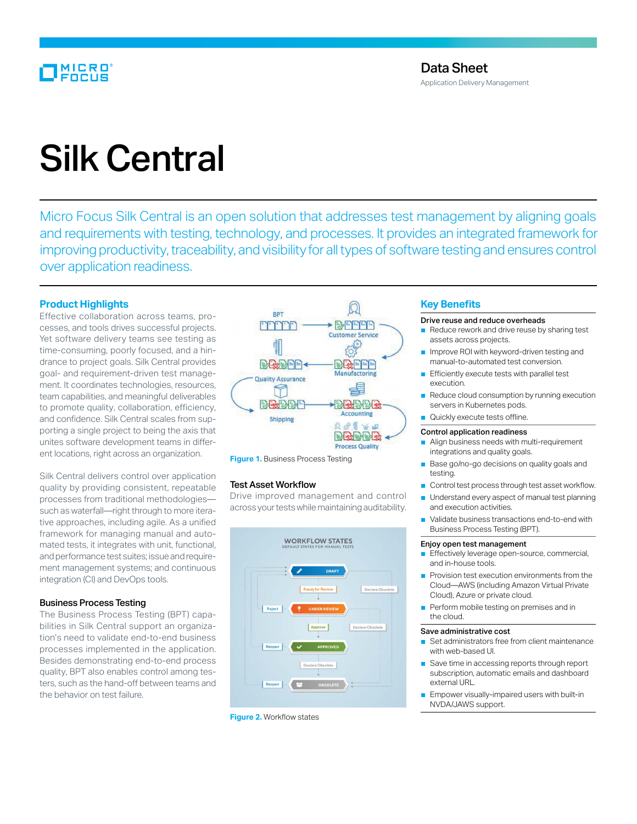# MICRO<br>FOCUS

# Silk Central

Micro Focus Silk Central is an open solution that addresses test management by aligning goals and requirements with testing, technology, and processes. It provides an integrated framework for improving productivity, traceability, and visibility for all types of software testing and ensures control over application readiness.

# **Product Highlights**

Effective collaboration across teams, processes, and tools drives successful projects. Yet software delivery teams see testing as time-consuming, poorly focused, and a hindrance to project goals. Silk Central provides goal- and requirement-driven test management. It coordinates technologies, resources, team capabilities, and meaningful deliverables to promote quality, collaboration, efficiency, and confidence. Silk Central scales from supporting a single project to being the axis that unites software development teams in different locations, right across an organization.

Silk Central delivers control over application quality by providing consistent, repeatable processes from traditional methodologies such as waterfall—right through to more iterative approaches, including agile. As a unified framework for managing manual and automated tests, it integrates with unit, functional, and performance test suites; issue and requirement management systems; and continuous integration (CI) and DevOps tools.

# Business Process Testing

The Business Process Testing (BPT) capabilities in Silk Central support an organization's need to validate end-to-end business processes implemented in the application. Besides demonstrating end-to-end process quality, BPT also enables control among testers, such as the hand-off between teams and the behavior on test failure.



**Figure 1.** Business Process Testing

# Test Asset Workflow

Drive improved management and control across your tests while maintaining auditability.



**Figure 2.** Workflow states

# **Key Benefits**

## Drive reuse and reduce overheads

- Reduce rework and drive reuse by sharing test assets across projects.
- Improve ROI with keyword-driven testing and manual-to-automated test conversion.
- Efficiently execute tests with parallel test execution.
- Reduce cloud consumption by running execution servers in Kubernetes pods.
- Quickly execute tests offline.

#### Control application readiness

- Align business needs with multi-requirement integrations and quality goals.
- Base go/no-go decisions on quality goals and testing.
- Control test process through test asset workflow.
- Understand every aspect of manual test planning and execution activities.
- Validate business transactions end-to-end with Business Process Testing (BPT).

# Enjoy open test management

- Effectively leverage open-source, commercial, and in-house tools.
- Provision test execution environments from the Cloud—AWS (including Amazon Virtual Private Cloud), Azure or private cloud.
- Perform mobile testing on premises and in the cloud.

# Save administrative cost

- Set administrators free from client maintenance with web-based UI.
- Save time in accessing reports through report subscription, automatic emails and dashboard external URL.
- Empower visually-impaired users with built-in NVDA/JAWS support.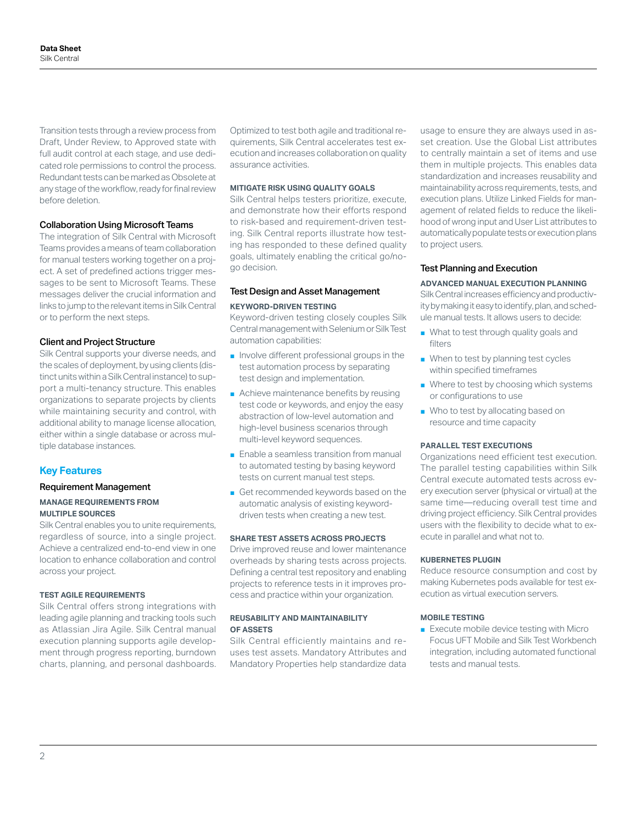Transition tests through a review process from Draft, Under Review, to Approved state with full audit control at each stage, and use dedicated role permissions to control the process. Redundant tests can be marked as Obsolete at any stage of the workflow, ready for final review before deletion.

# Collaboration Using Microsoft Teams

The integration of Silk Central with Microsoft Teams provides a means of team collaboration for manual testers working together on a project. A set of predefined actions trigger messages to be sent to Microsoft Teams. These messages deliver the crucial information and links to jump to the relevant items in Silk Central or to perform the next steps.

# Client and Project Structure

Silk Central supports your diverse needs, and the scales of deployment, by using clients (distinct units within a Silk Central instance) to support a multi-tenancy structure. This enables organizations to separate projects by clients while maintaining security and control, with additional ability to manage license allocation, either within a single database or across multiple database instances.

# **Key Features**

# Requirement Management

# **MANAGE REQUIREMENTS FROM MULTIPLE SOURCES**

Silk Central enables you to unite requirements, regardless of source, into a single project. Achieve a centralized end-to-end view in one location to enhance collaboration and control across your project.

# **TEST AGILE REQUIREMENTS**

Silk Central offers strong integrations with leading agile planning and tracking tools such as Atlassian Jira Agile. Silk Central manual execution planning supports agile development through progress reporting, burndown charts, planning, and personal dashboards.

Optimized to test both agile and traditional requirements, Silk Central accelerates test execution and increases collaboration on quality assurance activities.

# **MITIGATE RISK USING QUALITY GOALS**

Silk Central helps testers prioritize, execute, and demonstrate how their efforts respond to risk-based and requirement-driven testing. Silk Central reports illustrate how testing has responded to these defined quality goals, ultimately enabling the critical go/nogo decision.

# Test Design and Asset Management **KEYWORD-DRIVEN TESTING**

Keyword-driven testing closely couples Silk Central management with Selenium or Silk Test automation capabilities:

- Involve different professional groups in the test automation process by separating test design and implementation.
- Achieve maintenance benefits by reusing test code or keywords, and enjoy the easy abstraction of low-level automation and high-level business scenarios through multi-level keyword sequences.
- Enable a seamless transition from manual to automated testing by basing keyword tests on current manual test steps.
- Get recommended keywords based on the automatic analysis of existing keyworddriven tests when creating a new test.

#### **SHARE TEST ASSETS ACROSS PROJECTS**

Drive improved reuse and lower maintenance overheads by sharing tests across projects. Defining a central test repository and enabling projects to reference tests in it improves process and practice within your organization.

# **REUSABILITY AND MAINTAINABILITY OF ASSETS**

Silk Central efficiently maintains and reuses test assets. Mandatory Attributes and Mandatory Properties help standardize data

usage to ensure they are always used in asset creation. Use the Global List attributes to centrally maintain a set of items and use them in multiple projects. This enables data standardization and increases reusability and maintainability across requirements, tests, and execution plans. Utilize Linked Fields for management of related fields to reduce the likelihood of wrong input and User List attributes to automatically populate tests or execution plans to project users.

# Test Planning and Execution

#### **ADVANCED MANUAL EXECUTION PLANNING**

Silk Central increases efficiency and productivity by making it easy to identify, plan, and schedule manual tests. It allows users to decide:

- What to test through quality goals and filters
- When to test by planning test cycles within specified timeframes
- Where to test by choosing which systems or configurations to use
- Who to test by allocating based on resource and time capacity

#### **PARALLEL TEST EXECUTIONS**

Organizations need efficient test execution. The parallel testing capabilities within Silk Central execute automated tests across every execution server (physical or virtual) at the same time—reducing overall test time and driving project efficiency. Silk Central provides users with the flexibility to decide what to execute in parallel and what not to.

#### **KUBERNETES PLUGIN**

Reduce resource consumption and cost by making Kubernetes pods available for test execution as virtual execution servers.

#### **MOBILE TESTING**

■ Execute mobile device testing with Micro Focus UFT Mobile and Silk Test Workbench integration, including automated functional tests and manual tests.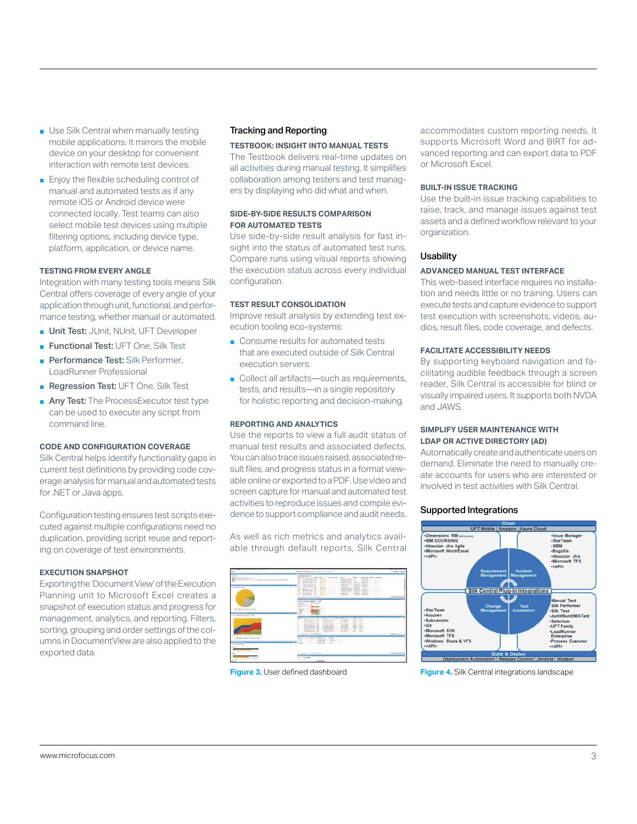- Use Silk Central when manually testing mobile applications. It mirrors the mobile device on your desktop for convenient interaction with remote test devices.
- Enjoy the flexible scheduling control of manual and automated tests as if any remote iOS or Android device were connected locally. Test teams can also select mobile test devices using multiple filtering options, including device type, platform, application, or device name.

# **TESTING FROM EVERY ANGLE**

Integration with many testing tools means Silk Central offers coverage of every angle of your application through unit, functional, and performance testing, whether manual or automated.

- Unit Test: JUnit, NUnit, UFT Developer
- Functional Test: UFT One, Silk Test
- Performance Test: Silk Performer. LoadRunner Professional
- Regression Test: UFT One, Silk Test
- Any Test: The ProcessExecutor test type can be used to execute any script from command line.

#### **CODE AND CONFIGURATION COVERAGE**

Silk Central helps identify functionality gaps in current test definitions by providing code coverage analysis for manual and automated tests for .NET or Java apps.

Configuration testing ensures test scripts executed against multiple configurations need no duplication, providing script reuse and reporting on coverage of test environments.

# **EXECUTION SNAPSHOT**

Exporting the 'Document View' of the Execution Planning unit to Microsoft Excel creates a snapshot of execution status and progress for management, analytics, and reporting. Filters, sorting, grouping and order settings of the columns in DocumentView are also applied to the exported data.

# Tracking and Reporting

# **TESTBOOK: INSIGHT INTO MANUAL TESTS**

The Testbook delivers real-time updates on all activities during manual testing. It simplifies collaboration among testers and test managers by displaying who did what and when.

# **SIDE-BY-SIDE RESULTS COMPARISON FOR AUTOMATED TESTS**

Use side-by-side result analysis for fast insight into the status of automated test runs. Compare runs using visual reports showing the execution status across every individual configuration.

#### **TEST RESULT CONSOLIDATION**

Improve result analysis by extending test execution tooling eco-systems:

- Consume results for automated tests that are executed outside of Silk Central execution servers.
- Collect all artifacts—such as requirements, tests, and results—in a single repository for holistic reporting and decision-making.

# **REPORTING AND ANALYTICS**

Use the reports to view a full audit status of manual test results and associated defects. You can also trace issues raised, associated result files, and progress status in a format viewable online or exported to a PDF. Use video and screen capture for manual and automated test activities to reproduce issues and compile evidence to support compliance and audit needs.

As well as rich metrics and analytics available through default reports, Silk Central



accommodates custom reporting needs. It supports Microsoft Word and BIRT for advanced reporting and can export data to PDF or Microsoft Excel.

# **BUILT-IN ISSUE TRACKING**

Use the built-in issue tracking capabilities to raise, track, and manage issues against test assets and a defined workflow relevant to your organization.

# **Usability**

#### **ADVANCED MANUAL TEST INTERFACE**

This web-based interface requires no installation and needs little or no training. Users can execute tests and capture evidence to support test execution with screenshots, videos, audios, result files, code coverage, and defects.

# **FACILITATE ACCESSIBILITY NEEDS**

By supporting keyboard navigation and facilitating audible feedback through a screen reader, Silk Central is accessible for blind or visually impaired users. It supports both NVDA and JAWS.

# **SIMPLIFY USER MAINTENANCE WITH LDAP OR ACTIVE DIRECTORY (AD)**

Automatically create and authenticate users on demand. Eliminate the need to manually create accounts for users who are interested or involved in test activities with Silk Central.

### Supported Integrations



**Figure 3.** User defined dashboard **Figure 4.** Silk Central integrations landscape